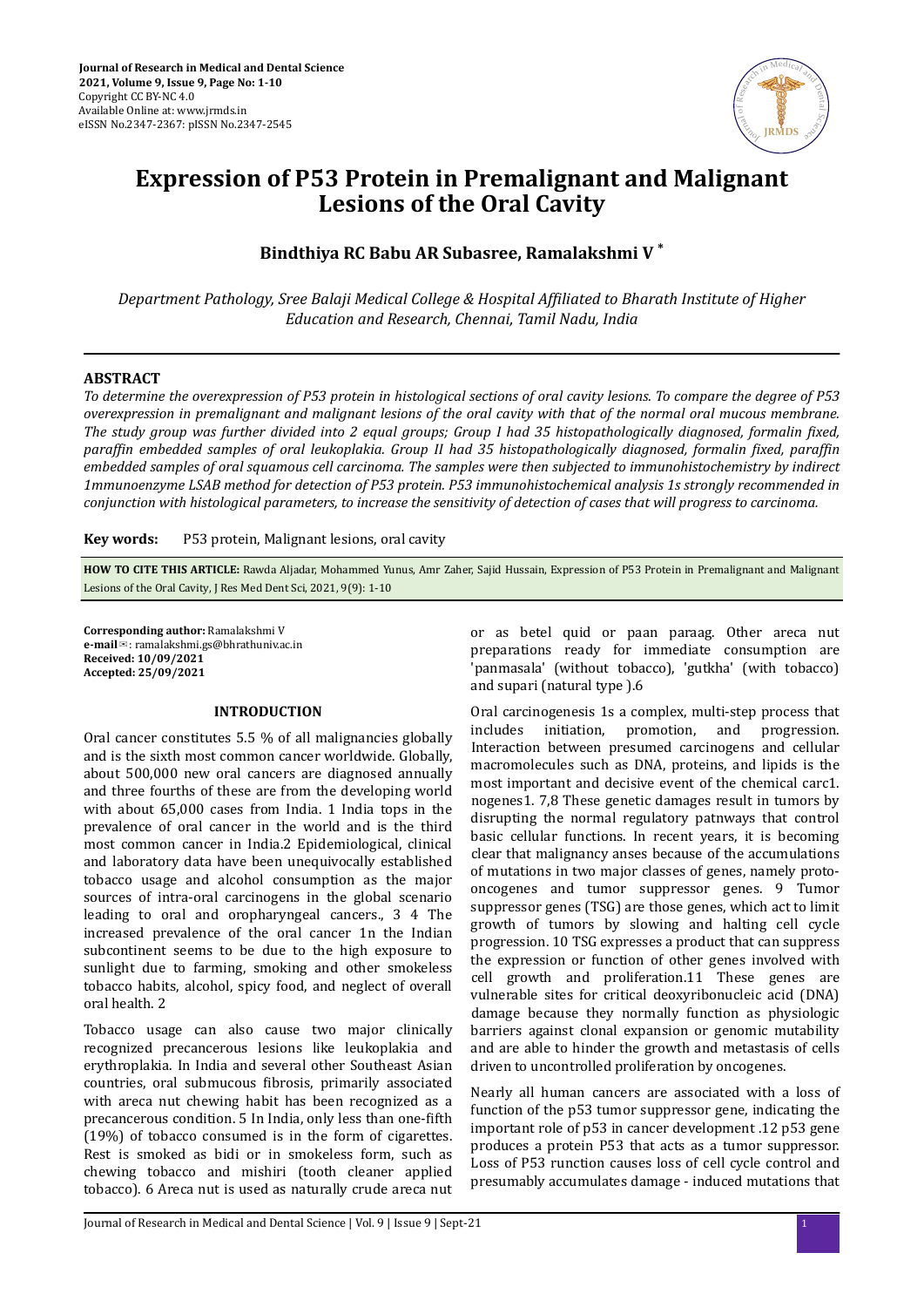

# **Expression of P53 Protein in Premalignant and Malignant Lesions of the Oral Cavity**

# **Bindthiya RC Babu AR Subasree, Ramalakshmi V \***

*Department Pathology, Sree Balaji Medical College & Hospital Affiliated to Bharath Institute of Higher Education and Research, Chennai, Tamil Nadu, India*

# **ABSTRACT**

*To determine the overexpression of P53 protein in histological sections of oral cavity lesions. To compare the degree of P53 overexpression in premalignant and malignant lesions of the oral cavity with that of the normal oral mucous membrane. The study group was further divided into 2 equal groups; Group I had 35 histopathologically diagnosed, formalin fixed, f* paraffin embedded samples of oral leukoplakia. Group II had 35 histopathologically diagnosed, formalin fixed, paraffin *embedded samples of oral squamous cell carcinoma. The samples were then subjected to immunohistochemistry by indirect 1mmunoenzyme LSAB method for detection of P53 protein. P53 immunohistochemical analysis 1s strongly recommended in conjunction with histological parameters, to increase the sensitivity of detection of cases that will progress to carcinoma.*

**Key words:** P53 protein, Malignant lesions, oral cavity

**HOW TO CITE THIS ARTICLE:** Rawda Aljadar, Mohammed Yunus, Amr Zaher, Sajid Hussain, Expression of P53 Protein in Premalignant and Malignant Lesions of the Oral Cavity, J Res Med Dent Sci, 2021, 9(9): 1-10

**Corresponding author:** Ramalakshmi V **e-mail**✉: ramalakshmi.gs@bhrathuniv.ac.in **Received: 10/09/2021 Accepted: 25/09/2021** 

# **INTRODUCTION**

Oral cancer constitutes 5.5 % of all malignancies globally and is the sixth most common cancer worldwide. Globally, about 500,000 new oral cancers are diagnosed annually and three fourths of these are from the developing world with about 65,000 cases from India. 1 India tops in the prevalence of oral cancer in the world and is the third most common cancer in India.2 Epidemiological, clinical and laboratory data have been unequivocally established tobacco usage and alcohol consumption as the major sources of intra-oral carcinogens in the global scenario leading to oral and oropharyngeal cancers., 3 4 The increased prevalence of the oral cancer 1n the Indian subcontinent seems to be due to the high exposure to sunlight due to farming, smoking and other smokeless tobacco habits, alcohol, spicy food, and neglect of overall oral health. 2

Tobacco usage can also cause two major clinically recognized precancerous lesions like leukoplakia and erythroplakia. In India and several other Southeast Asian countries, oral submucous fibrosis, primarily associated with areca nut chewing habit has been recognized as a precancerous condition. 5 In India, only less than one-fifth (19%) of tobacco consumed is in the form of cigarettes. Rest is smoked as bidi or in smokeless form, such as chewing tobacco and mishiri (tooth cleaner applied tobacco). 6 Areca nut is used as naturally crude areca nut or as betel quid or paan paraag. Other areca nut preparations ready for immediate consumption are 'panmasala' (without tobacco), 'gutkha' (with tobacco) and supari (natural type ).6

Oral carcinogenesis 1s a complex, multi-step process that includes initiation, promotion, and progression. Interaction between presumed carcinogens and cellular macromolecules such as DNA, proteins, and lipids is the most important and decisive event of the chemical carc1. nogenes1. 7,8 These genetic damages result in tumors by disrupting the normal regulatory patnways that control basic cellular functions. In recent years, it is becoming clear that malignancy anses because of the accumulations of mutations in two major classes of genes, namely protooncogenes and tumor suppressor genes. 9 Tumor suppressor genes (TSG) are those genes, which act to limit growth of tumors by slowing and halting cell cycle progression. 10 TSG expresses a product that can suppress the expression or function of other genes involved with cell growth and proliferation.11 These genes are vulnerable sites for critical deoxyribonucleic acid (DNA) damage because they normally function as physiologic barriers against clonal expansion or genomic mutability and are able to hinder the growth and metastasis of cells driven to uncontrolled proliferation by oncogenes.

Nearly all human cancers are associated with a loss of function of the p53 tumor suppressor gene, indicating the important role of p53 in cancer development .12 p53 gene produces a protein P53 that acts as a tumor suppressor. Loss of P53 runction causes loss of cell cycle control and presumably accumulates damage - induced mutations that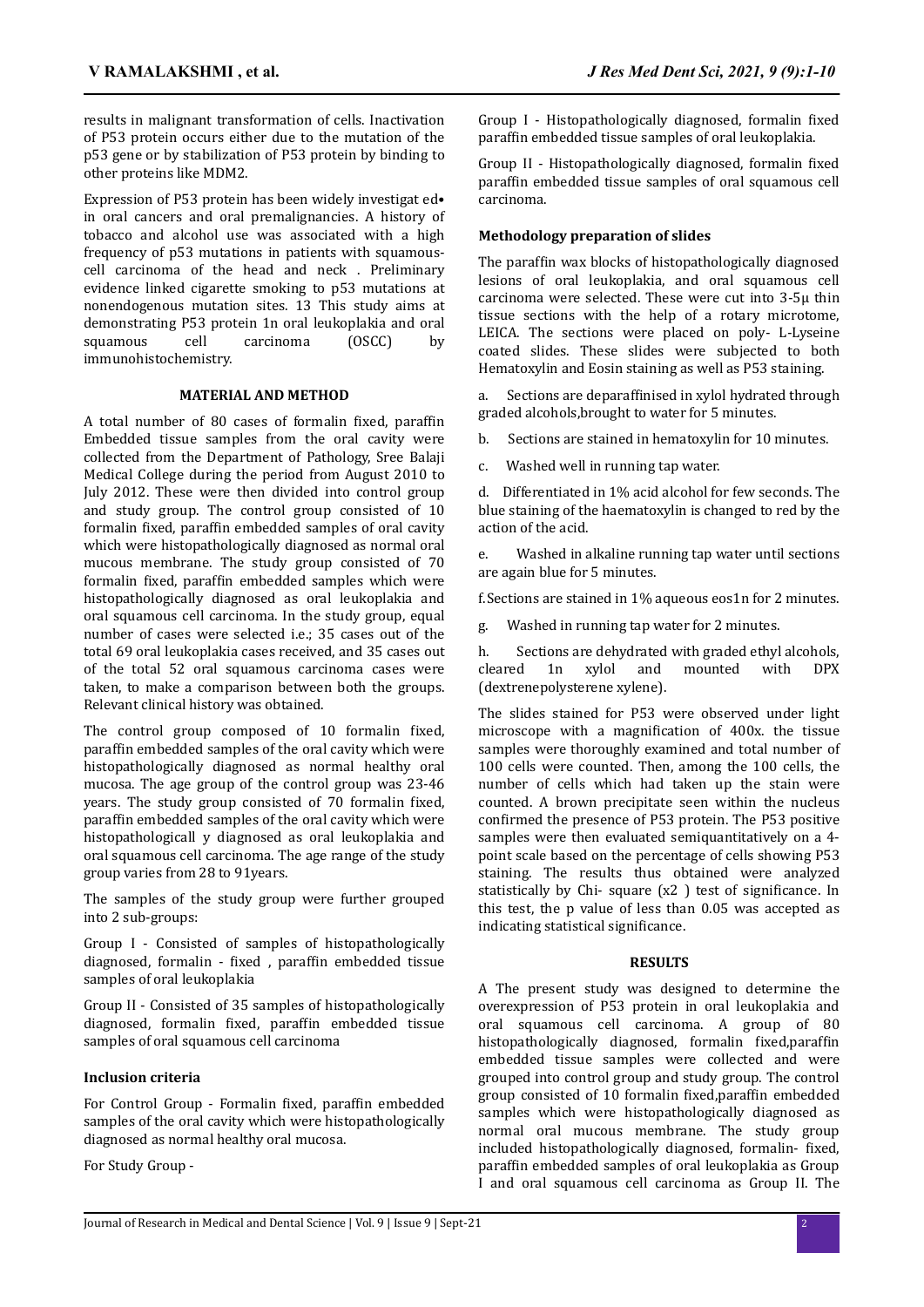results in malignant transformation of cells. Inactivation of P53 protein occurs either due to the mutation of the p53 gene or by stabilization of P53 protein by binding to other proteins like MDM2.

Expression of P53 protein has been widely investigat ed• in oral cancers and oral premalignancies. A history of tobacco and alcohol use was associated with a high frequency of p53 mutations in patients with squamouscell carcinoma of the head and neck . Preliminary evidence linked cigarette smoking to p53 mutations at nonendogenous mutation sites. 13 This study aims at demonstrating P53 protein 1n oral leukoplakia and oral squamous cell carcinoma (OSCC) by immunohistochemistry.

#### **MATERIAL AND METHOD**

A total number of 80 cases of formalin fixed, paraffin Embedded tissue samples from the oral cavity were collected from the Department of Pathology, Sree Balaji Medical College during the period from August 2010 to July 2012. These were then divided into control group and study group. The control group consisted of 10 formalin fixed, paraffin embedded samples of oral cavity which were histopathologically diagnosed as normal oral mucous membrane. The study group consisted of 70 formalin fixed, paraffin embedded samples which were histopathologically diagnosed as oral leukoplakia and oral squamous cell carcinoma. In the study group, equal number of cases were selected i.e.; 35 cases out of the total 69 oral leukoplakia cases received, and 35 cases out of the total 52 oral squamous carcinoma cases were taken, to make a comparison between both the groups. Relevant clinical history was obtained.

The control group composed of 10 formalin fixed, paraffin embedded samples of the oral cavity which were histopathologically diagnosed as normal healthy oral mucosa. The age group of the control group was 23-46 years. The study group consisted of 70 formalin fixed. paraffin embedded samples of the oral cavity which were histopathologicall y diagnosed as oral leukoplakia and oral squamous cell carcinoma. The age range of the study group varies from 28 to 91years.

The samples of the study group were further grouped into 2 sub-groups:

Group I - Consisted of samples of histopathologically diagnosed, formalin - fixed , paraffin embedded tissue samples of oral leukoplakia

Group II - Consisted of 35 samples of histopathologically diagnosed, formalin fixed, paraffin embedded tissue samples of oral squamous cell carcinoma

#### **Inclusion criteria**

For Control Group - Formalin fixed, paraffin embedded samples of the oral cavity which were histopathologically diagnosed as normal healthy oral mucosa.

For Study Group -

Group I - Histopathologically diagnosed, formalin fixed paraffin embedded tissue samples of oral leukoplakia.

Group II - Histopathologically diagnosed, formalin fixed paraffin embedded tissue samples of oral squamous cell carcinoma.

#### **Methodology preparation of slides**

The paraffin wax blocks of histopathologically diagnosed lesions of oral leukoplakia, and oral squamous cell carcinoma were selected. These were cut into 3-5µ thin tissue sections with the help of a rotary microtome, LEICA. The sections were placed on poly- L-Lyseine coated slides. These slides were subjected to both Hematoxylin and Eosin staining as well as P53 staining.

a. Sections are deparaffinised in xylol hydrated through graded alcohols,brought to water for 5 minutes.

b. Sections are stained in hematoxylin for 10 minutes.

c. Washed well in running tap water.

d. Differentiated in 1% acid alcohol for few seconds. The blue staining of the haematoxylin is changed to red by the action of the acid.

e. Washed in alkaline running tap water until sections are again blue for 5 minutes.

f.Sections are stained in 1% aqueous eos1n for 2 minutes.

g. Washed in running tap water for 2 minutes.

h. Sections are dehydrated with graded ethyl alcohols, cleared 1n xylol and mounted with DPX (dextrenepolysterene xylene).

The slides stained for P53 were observed under light microscope with a magnification of 400x. the tissue samples were thoroughly examined and total number of 100 cells were counted. Then, among the 100 cells, the number of cells which had taken up the stain were counted. A brown precipitate seen within the nucleus confirmed the presence of P53 protein. The P53 positive samples were then evaluated semiquantitatively on a 4 point scale based on the percentage of cells showing P53 staining. The results thus obtained were analyzed statistically by Chi- square (x2) test of significance. In this test, the p value of less than 0.05 was accepted as indicating statistical significance.

#### **RESULTS**

A The present study was designed to determine the overexpression of P53 protein in oral leukoplakia and oral squamous cell carcinoma. A group of 80 histopathologically diagnosed, formalin fixed,paraffin embedded tissue samples were collected and were grouped into control group and study group. The control group consisted of 10 formalin fixed, paraffin embedded samples which were histopathologically diagnosed as normal oral mucous membrane. The study group included histopathologically diagnosed, formalin- fixed, paraffin embedded samples of oral leukoplakia as Group I and oral squamous cell carcinoma as Group II. The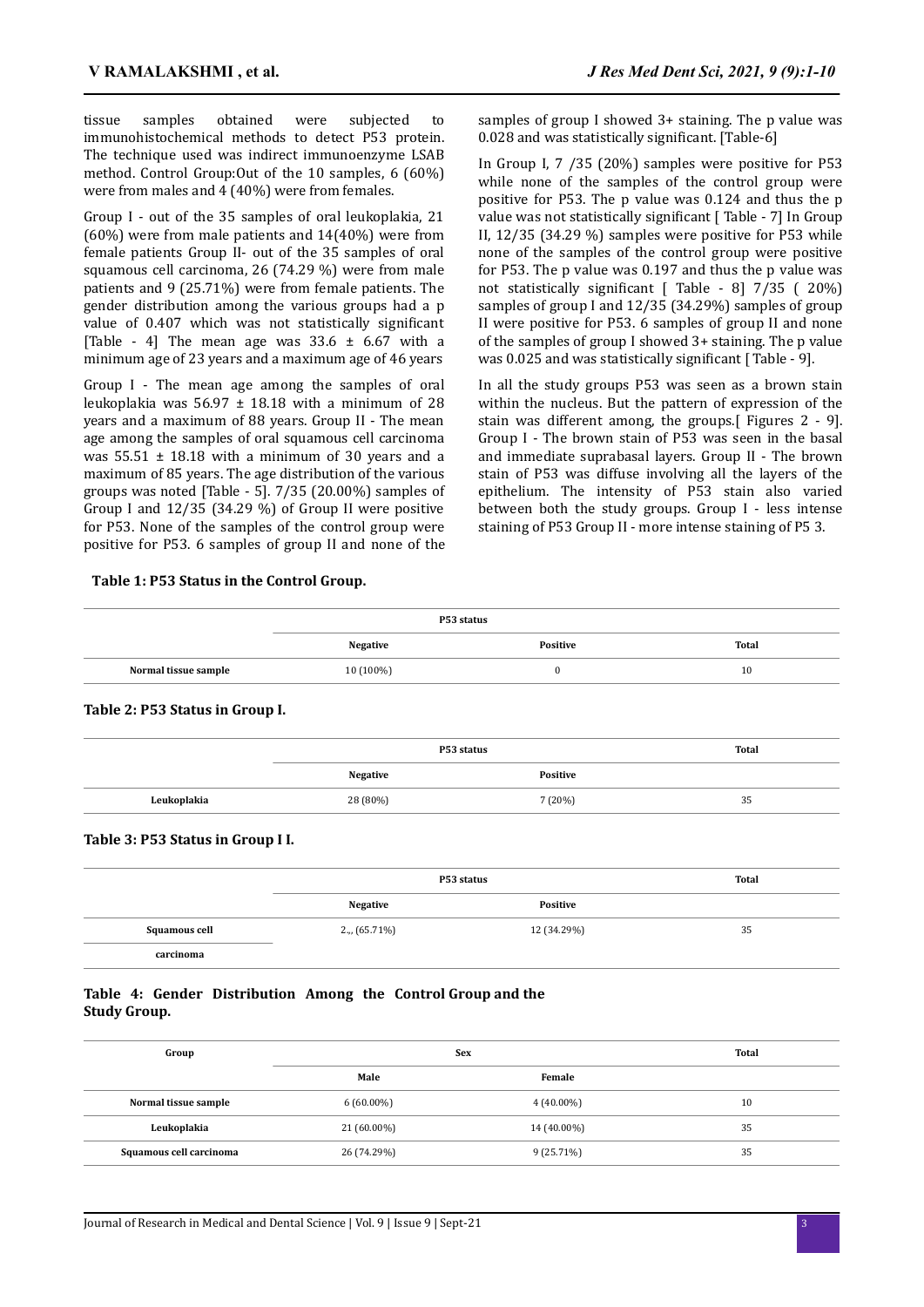tissue samples obtained were subjected to immunohistochemical methods to detect P53 protein. The technique used was indirect immunoenzyme LSAB method. Control Group:Out of the 10 samples, 6 (60%) were from males and 4 (40%) were from females.

Group I - out of the 35 samples of oral leukoplakia, 21 (60%) were from male patients and 14(40%) were from female patients Group II- out of the 35 samples of oral squamous cell carcinoma, 26 (74.29 %) were from male patients and 9 (25.71%) were from female patients. The gender distribution among the various groups had a p value of 0.407 which was not statistically significant [Table - 4] The mean age was  $33.6 \pm 6.67$  with a minimum age of 23 years and a maximum age of 46 years

Group I - The mean age among the samples of oral leukoplakia was  $56.97 \pm 18.18$  with a minimum of 28 years and a maximum of 88 years. Group II - The mean age among the samples of oral squamous cell carcinoma was  $55.51 \pm 18.18$  with a minimum of 30 years and a maximum of 85 years. The age distribution of the various groups was noted [Table - 5]. 7/35 (20.00%) samples of Group I and  $12/35$  (34.29 %) of Group II were positive for P53. None of the samples of the control group were positive for P53. 6 samples of group II and none of the samples of group I showed 3+ staining. The p value was 0.028 and was statistically significant. [Table-6]

In Group I, 7 /35 (20%) samples were positive for P53 while none of the samples of the control group were positive for P53. The p value was 0.124 and thus the p value was not statistically significant [ Table - 7] In Group II, 12/35 (34.29 %) samples were positive for P53 while none of the samples of the control group were positive for P53. The p value was 0.197 and thus the p value was not statistically significant [ Table - 8] 7/35 ( 20%) samples of group I and 12/35 (34.29%) samples of group II were positive for P53. 6 samples of group II and none of the samples of group I showed 3+ staining. The p value was 0.025 and was statistically significant [Table - 9].

In all the study groups P53 was seen as a brown stain within the nucleus. But the pattern of expression of the stain was different among, the groups.[ Figures 2 - 9]. Group I - The brown stain of P53 was seen in the basal and immediate suprabasal layers. Group II - The brown stain of P53 was diffuse involving all the layers of the epithelium. The intensity of P53 stain also varied between both the study groups. Group I - less intense staining of P53 Group II - more intense staining of P5 3.

#### **Table 1: P53 Status in the Control Group.**

|                      | P53 status      |                 |       |  |  |
|----------------------|-----------------|-----------------|-------|--|--|
|                      | <b>Negative</b> | <b>Positive</b> | Total |  |  |
| Normal tissue sample | $10(100\%)$     |                 | 10    |  |  |
|                      |                 |                 |       |  |  |

|             |          | P53 status | Total |
|-------------|----------|------------|-------|
|             | Negative | Positive   |       |
| Leukoplakia | 28 (80%) | 7(20%)     | 35    |

#### **Table 3: P53 Status in Group I I.**

**Table 2: P53 Status in Group I.**

|                      | P53 status         | Total       |    |
|----------------------|--------------------|-------------|----|
|                      | Negative           | Positive    |    |
| <b>Squamous cell</b> | $2_{\nu}$ (65.71%) | 12 (34.29%) | 35 |
| carcinoma            |                    |             |    |

# **Table 4: Gender Distribution Among the Control Group and the Study Group.**

| Group                   | <b>Sex</b>   | Total        |    |
|-------------------------|--------------|--------------|----|
|                         | Male         | Female       |    |
| Normal tissue sample    | $6(60.00\%)$ | $4(40.00\%)$ | 10 |
| Leukoplakia             | 21 (60.00%)  | 14 (40.00%)  | 35 |
| Squamous cell carcinoma | 26 (74.29%)  | $9(25.71\%)$ | 35 |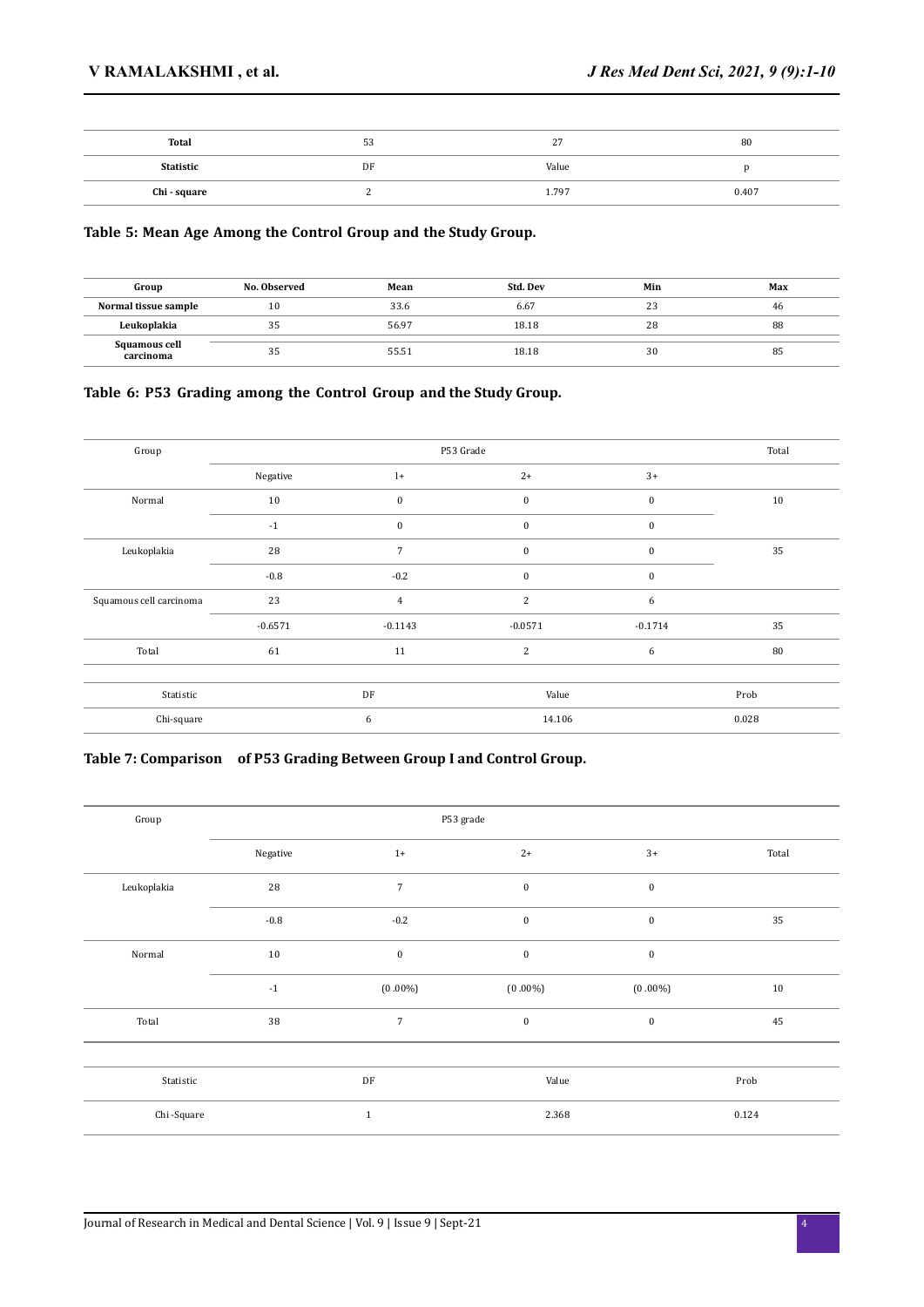| Total        | 53 | $\sim$<br>$\sim$ | 80    |
|--------------|----|------------------|-------|
| Statistic    | DF | Value            |       |
| Chi - square |    | 1.797            | 0.407 |

# **Table 5: Mean Age Among the Control Group and the Study Group.**

| Group                      | No. Observed | Mean  | Std. Dev | Min | Max |
|----------------------------|--------------|-------|----------|-----|-----|
| Normal tissue sample       | 10           | 33.6  | 6.67     | 23  | -46 |
| Leukoplakia                | 35           | 56.97 | 18.18    | 28  | 88  |
| Squamous cell<br>carcinoma | 35           | 55.51 | 18.18    | 30  | 85  |

# **Table 6: P53 Grading among the Control Group and the Study Group.**

| Group                   |           | P53 Grade      |                  |           |       |  |
|-------------------------|-----------|----------------|------------------|-----------|-------|--|
|                         | Negative  | $\mathbf{l}$   | $2+$             | $3+$      |       |  |
| Normal                  | 10        | $\bf{0}$       | $\boldsymbol{0}$ | $\bf{0}$  | 10    |  |
|                         | $-1$      | $\bf{0}$       | $\bf{0}$         | $\bf{0}$  |       |  |
| Leukoplakia             | 28        | $\overline{7}$ | $\bf{0}$         | $\bf{0}$  | 35    |  |
|                         | $-0.8$    | $-0.2$         | $\mathbf{0}$     | $\bf{0}$  |       |  |
| Squamous cell carcinoma | 23        | $\overline{4}$ | 2                | 6         |       |  |
|                         | $-0.6571$ | $-0.1143$      | $-0.0571$        | $-0.1714$ | 35    |  |
| Total                   | 61        | 11             | 2                | 6         | 80    |  |
|                         |           |                |                  |           |       |  |
| Statistic               |           | DF             | Value            |           | Prob  |  |
| Chi-square              |           | 6              | 14.106           |           | 0.028 |  |

# **Table 7: Comparison of P53 Grading Between Group I and Control Group.**

| Group       | P53 grade   |                |                  |                  |       |  |  |
|-------------|-------------|----------------|------------------|------------------|-------|--|--|
|             | Negative    | $1+$           | $2+$             | $3+$             | Total |  |  |
| Leukoplakia | 28          | $\overline{7}$ | $\bf{0}$         | $\boldsymbol{0}$ |       |  |  |
|             | $-0.8$      | $-0.2$         | $\bf{0}$         | $\boldsymbol{0}$ | 35    |  |  |
| Normal      | 10          | $\pmb{0}$      | $\bf{0}$         | $\bf{0}$         |       |  |  |
|             | $^{\rm -1}$ | $(0.00\%)$     | $(0.00\%)$       | $(0.00\%)$       | 10    |  |  |
| Total       | 38          | $\overline{7}$ | $\boldsymbol{0}$ | $\boldsymbol{0}$ | 45    |  |  |
|             |             |                |                  |                  |       |  |  |
| Statistic   |             | DF             | Value            |                  | Prob  |  |  |
| Chi-Square  |             | $\,1\,$        | 2.368            |                  | 0.124 |  |  |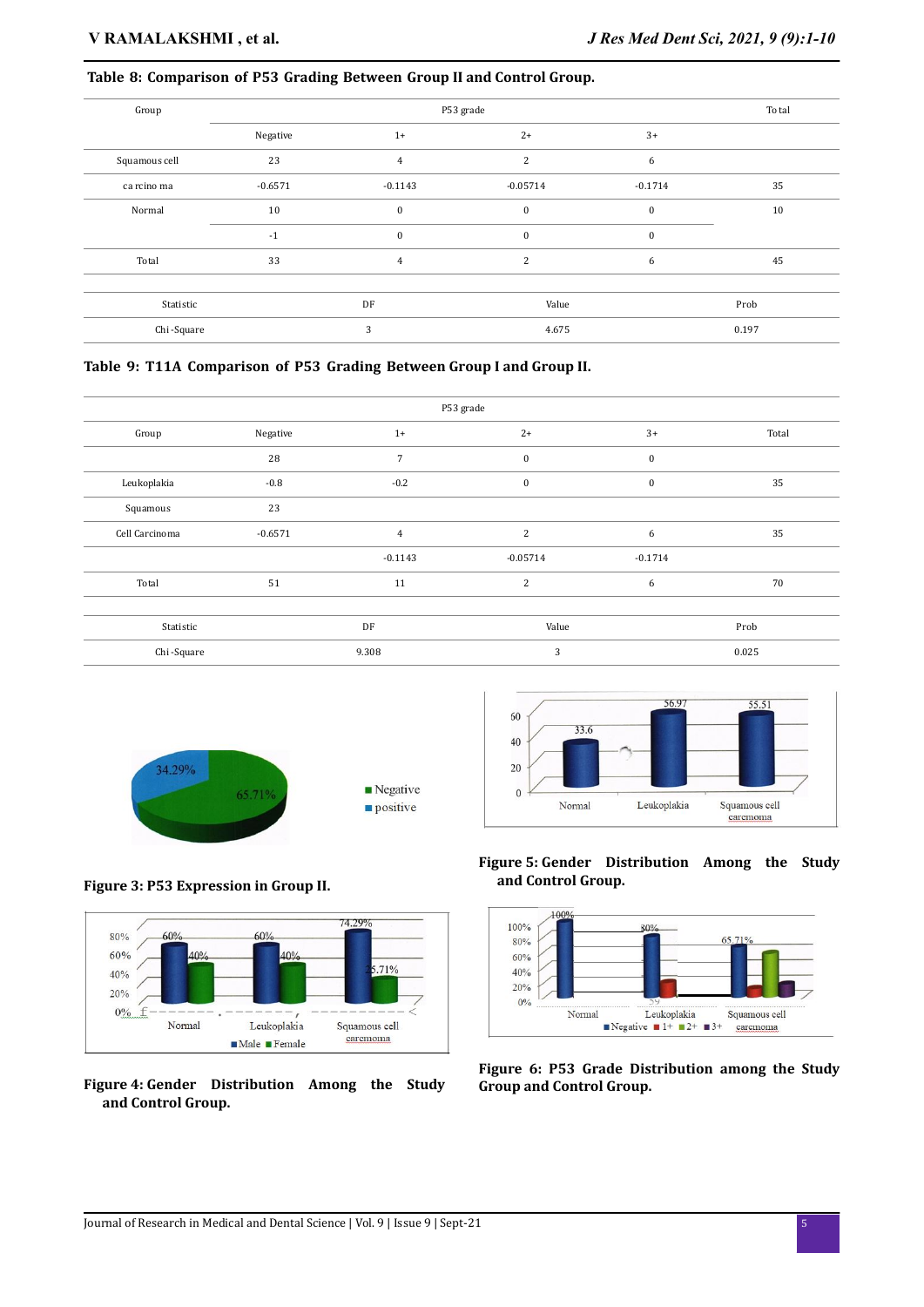# **Table 8: Comparison of P53 Grading Between Group II and Control Group.**

| Group         |           | To tal         |                |           |       |
|---------------|-----------|----------------|----------------|-----------|-------|
|               | Negative  | $1+$           | $2+$           | $3+$      |       |
| Squamous cell | 23        | $\overline{4}$ | 2              | 6         |       |
| ca rcino ma   | $-0.6571$ | $-0.1143$      | $-0.05714$     | $-0.1714$ | 35    |
| Normal        | 10        | $\mathbf{0}$   | $\bf{0}$       | $\bf{0}$  | 10    |
|               | $-1$      | $\mathbf{0}$   | $\bf{0}$       | $\bf{0}$  |       |
| Total         | 33        | $\overline{4}$ | $\overline{2}$ | 6         | 45    |
| Statistic     |           | DF             | Value          |           | Prob  |
| Chi-Square    |           | 3              | 4.675          |           | 0.197 |

**Table 9: T11A Comparison of P53 Grading Between Group I and Group II.** 

| P53 grade      |           |                |              |           |       |  |
|----------------|-----------|----------------|--------------|-----------|-------|--|
| Group          | Negative  | $1+$           | $2+$         | $3+$      | Total |  |
|                | 28        | $\overline{7}$ | $\mathbf{0}$ | $\bf{0}$  |       |  |
| Leukoplakia    | $-0.8$    | $-0.2$         | $\bf{0}$     | $\bf{0}$  | 35    |  |
| Squamous       | 23        |                |              |           |       |  |
| Cell Carcinoma | $-0.6571$ | $\overline{4}$ | 2            | 6         | 35    |  |
|                |           | $-0.1143$      | $-0.05714$   | $-0.1714$ |       |  |
| Total          | 51        | 11             | 2            | 6         | 70    |  |
|                |           |                |              |           |       |  |
| Statistic      |           | DF             | Value        |           | Prob  |  |
| Chi-Square     |           | 9.308          | 3            |           | 0.025 |  |



**Figure 3: P53 Expression in Group II.**



**Figure 4: Gender Distribution Among the Study and Control Group.**



**Figure 5: Gender Distribution Among the Study and Control Group.**



**Figure 6: P53 Grade Distribution among the Study Group and Control Group.**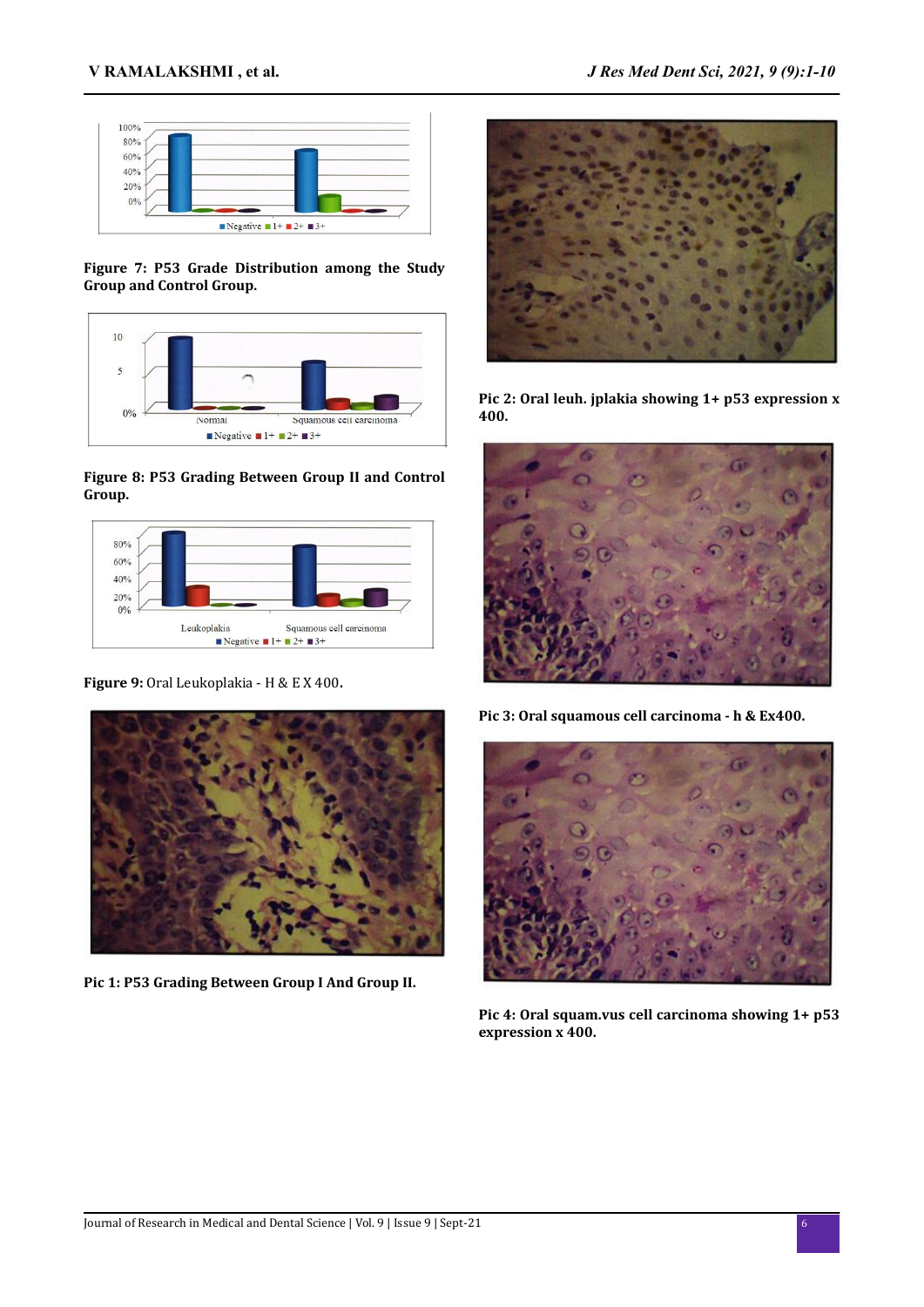

**Figure 7: P53 Grade Distribution among the Study Group and Control Group.**



# **Figure 8: P53 Grading Between Group II and Control Group.**



**Figure 9:** Oral Leukoplakia - H & E X 400**.**



**Pic 1: P53 Grading Between Group I And Group II.**



**Pic 2: Oral leuh. jplakia showing 1+ p53 expression x 400.**



**Pic 3: Oral squamous cell carcinoma - h & Ex400.**



**Pic 4: Oral squam.vus cell carcinoma showing 1+ p53 expression x 400.**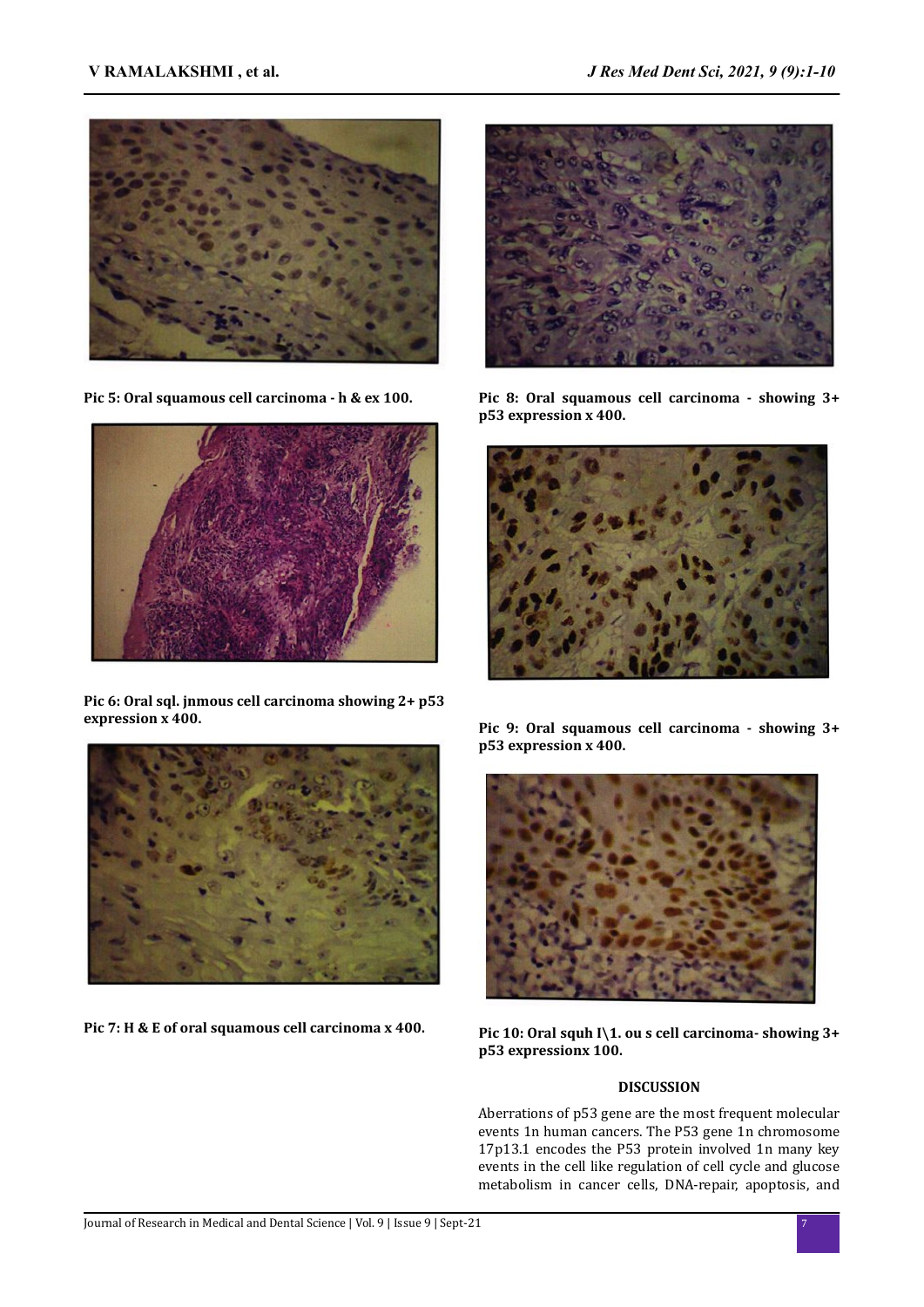

**Pic 5: Oral squamous cell carcinoma - h & ex 100.**



**Pic 6: Oral sql. jnmous cell carcinoma showing 2+ p53 expression x 400.**



**Pic 8: Oral squamous cell carcinoma - showing 3+ p53 expression x 400.**





**Pic 7: H & E of oral squamous cell carcinoma x 400.**

**Pic 9: Oral squamous cell carcinoma - showing 3+ p53 expression x 400.**



**Pic 10: Oral squh I\1. ou s cell carcinoma- showing 3+ p53 expressionx 100.**

# **DISCUSSION**

Aberrations of p53 gene are the most frequent molecular events 1n human cancers. The P53 gene 1n chromosome 17p13.1 encodes the P53 protein involved 1n many key events in the cell like regulation of cell cycle and glucose metabolism in cancer cells, DNA-repair, apoptosis, and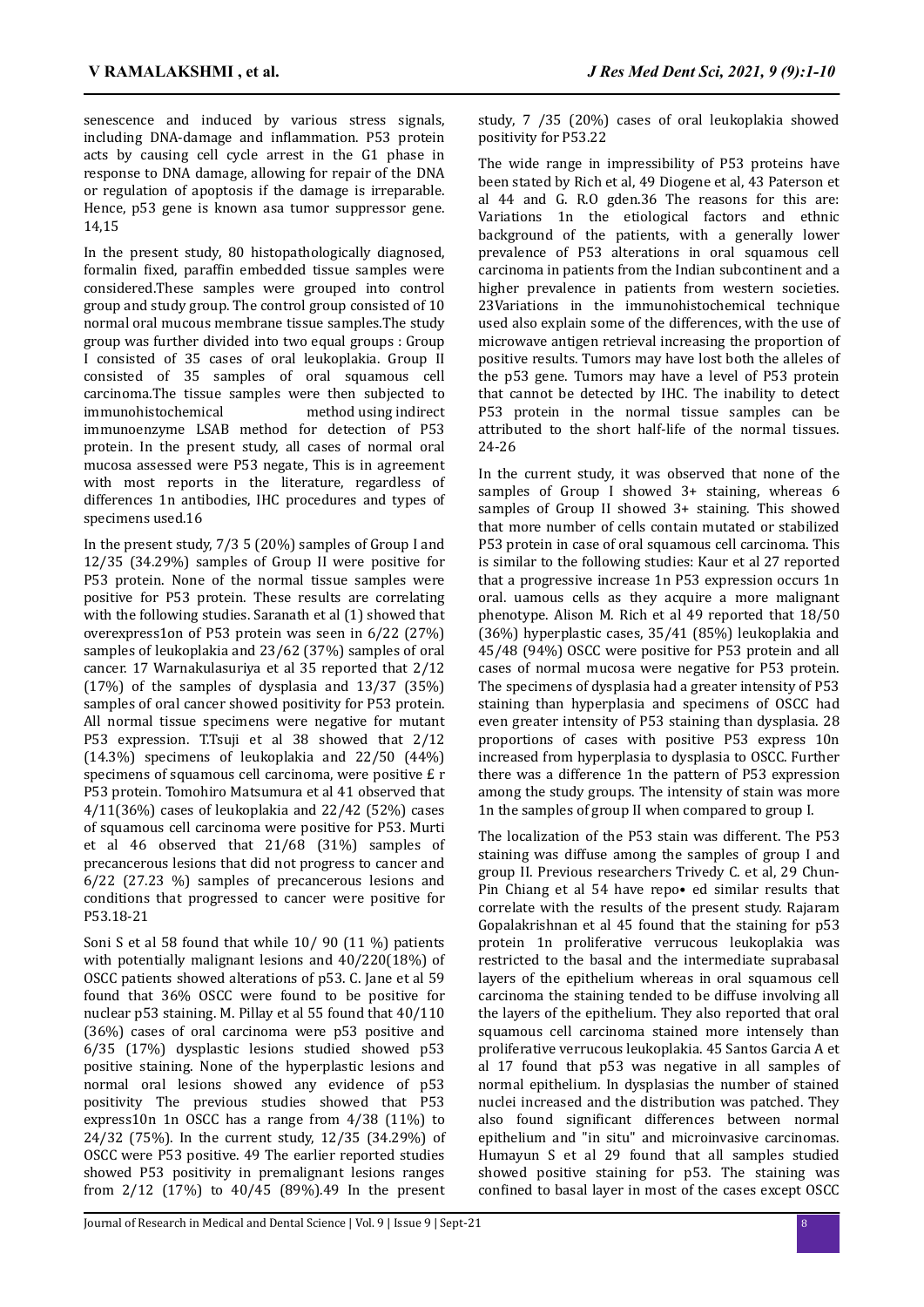senescence and induced by various stress signals, including DNA-damage and inflammation. P53 protein acts by causing cell cycle arrest in the G1 phase in response to DNA damage, allowing for repair of the DNA or regulation of apoptosis if the damage is irreparable. Hence, p53 gene is known asa tumor suppressor gene. 14,15

In the present study, 80 histopathologically diagnosed, formalin fixed, paraffin embedded tissue samples were considered.These samples were grouped into control group and study group. The control group consisted of 10 normal oral mucous membrane tissue samples.The study group was further divided into two equal groups : Group I consisted of 35 cases of oral leukoplakia. Group II consisted of 35 samples of oral squamous cell carcinoma.The tissue samples were then subjected to immunohistochemical method using indirect immunoenzyme LSAB method for detection of P53 protein. In the present study, all cases of normal oral mucosa assessed were P53 negate, This is in agreement with most reports in the literature, regardless of differences 1n antibodies, IHC procedures and types of specimens used.16

In the present study, 7/3 5 (20%) samples of Group I and 12/35 (34.29%) samples of Group II were positive for P53 protein. None of the normal tissue samples were positive for P53 protein. These results are correlating with the following studies. Saranath et al (1) showed that overexpress1on of P53 protein was seen in 6/22 (27%) samples of leukoplakia and 23/62 (37%) samples of oral cancer. 17 Warnakulasuriya et al 35 reported that 2/12 (17%) of the samples of dysplasia and 13/37 (35%) samples of oral cancer showed positivity for P53 protein. All normal tissue specimens were negative for mutant P53 expression. T.Tsuji et al 38 showed that 2/12 (14.3%) specimens of leukoplakia and 22/50 (44%) specimens of squamous cell carcinoma, were positive £ r P53 protein. Tomohiro Matsumura et al 41 observed that 4/11(36%) cases of leukoplakia and 22/42 (52%) cases of squamous cell carcinoma were positive for P53. Murti et al 46 observed that 21/68 (31%) samples of precancerous lesions that did not progress to cancer and 6/22 (27.23 %) samples of precancerous lesions and conditions that progressed to cancer were positive for P53.18-21

Soni S et al 58 found that while 10/ 90 (11 %) patients with potentially malignant lesions and 40/220(18%) of OSCC patients showed alterations of p53. C. Jane et al 59 found that 36% OSCC were found to be positive for nuclear p53 staining. M. Pillay et al 55 found that 40/110 (36%) cases of oral carcinoma were p53 positive and 6/35 (17%) dysplastic lesions studied showed p53 positive staining. None of the hyperplastic lesions and normal oral lesions showed any evidence of p53 positivity The previous studies showed that P53 express10n 1n OSCC has a range from 4/38 (11%) to 24/32 (75%). In the current study, 12/35 (34.29%) of OSCC were P53 positive. 49 The earlier reported studies showed P53 positivity in premalignant lesions ranges from 2/12 (17%) to 40/45 (89%).49 In the present study, 7 /35 (20%) cases of oral leukoplakia showed positivity for P53.22

The wide range in impressibility of P53 proteins have been stated by Rich et al, 49 Diogene et al, 43 Paterson et al 44 and G. R.O gden.36 The reasons for this are: Variations 1n the etiological factors and ethnic background of the patients, with a generally lower prevalence of P53 alterations in oral squamous cell carcinoma in patients from the Indian subcontinent and a higher prevalence in patients from western societies. 23Variations in the immunohistochemical technique used also explain some of the differences, with the use of microwave antigen retrieval increasing the proportion of positive results. Tumors may have lost both the alleles of the p53 gene. Tumors may have a level of P53 protein that cannot be detected by IHC. The inability to detect P53 protein in the normal tissue samples can be attributed to the short half-life of the normal tissues. 24-26

In the current study, it was observed that none of the samples of Group I showed 3+ staining, whereas 6 samples of Group II showed 3+ staining. This showed that more number of cells contain mutated or stabilized P53 protein in case of oral squamous cell carcinoma. This is similar to the following studies: Kaur et al 27 reported that a progressive increase 1n P53 expression occurs 1n oral. uamous cells as they acquire a more malignant phenotype. Alison M. Rich et al 49 reported that 18/50 (36%) hyperplastic cases, 35/41 (85%) leukoplakia and 45/48 (94%) OSCC were positive for P53 protein and all cases of normal mucosa were negative for P53 protein. The specimens of dysplasia had a greater intensity of P53 staining than hyperplasia and specimens of OSCC had even greater intensity of P53 staining than dysplasia. 28 proportions of cases with positive P53 express 10n increased from hyperplasia to dysplasia to OSCC. Further there was a difference 1n the pattern of P53 expression among the study groups. The intensity of stain was more 1n the samples of group II when compared to group I.

The localization of the P53 stain was different. The P53 staining was diffuse among the samples of group I and group II. Previous researchers Trivedy C. et al, 29 Chun-Pin Chiang et al 54 have repo• ed similar results that correlate with the results of the present study. Rajaram Gopalakrishnan et al 45 found that the staining for p53 protein 1n proliferative verrucous leukoplakia was restricted to the basal and the intermediate suprabasal layers of the epithelium whereas in oral squamous cell carcinoma the staining tended to be diffuse involving all the layers of the epithelium. They also reported that oral squamous cell carcinoma stained more intensely than proliferative verrucous leukoplakia. 45 Santos Garcia A et al 17 found that p53 was negative in all samples of normal epithelium. In dysplasias the number of stained nuclei increased and the distribution was patched. They also found significant differences between normal epithelium and "in situ" and microinvasive carcinomas. Humayun S et al 29 found that all samples studied showed positive staining for p53. The staining was confined to basal layer in most of the cases except OSCC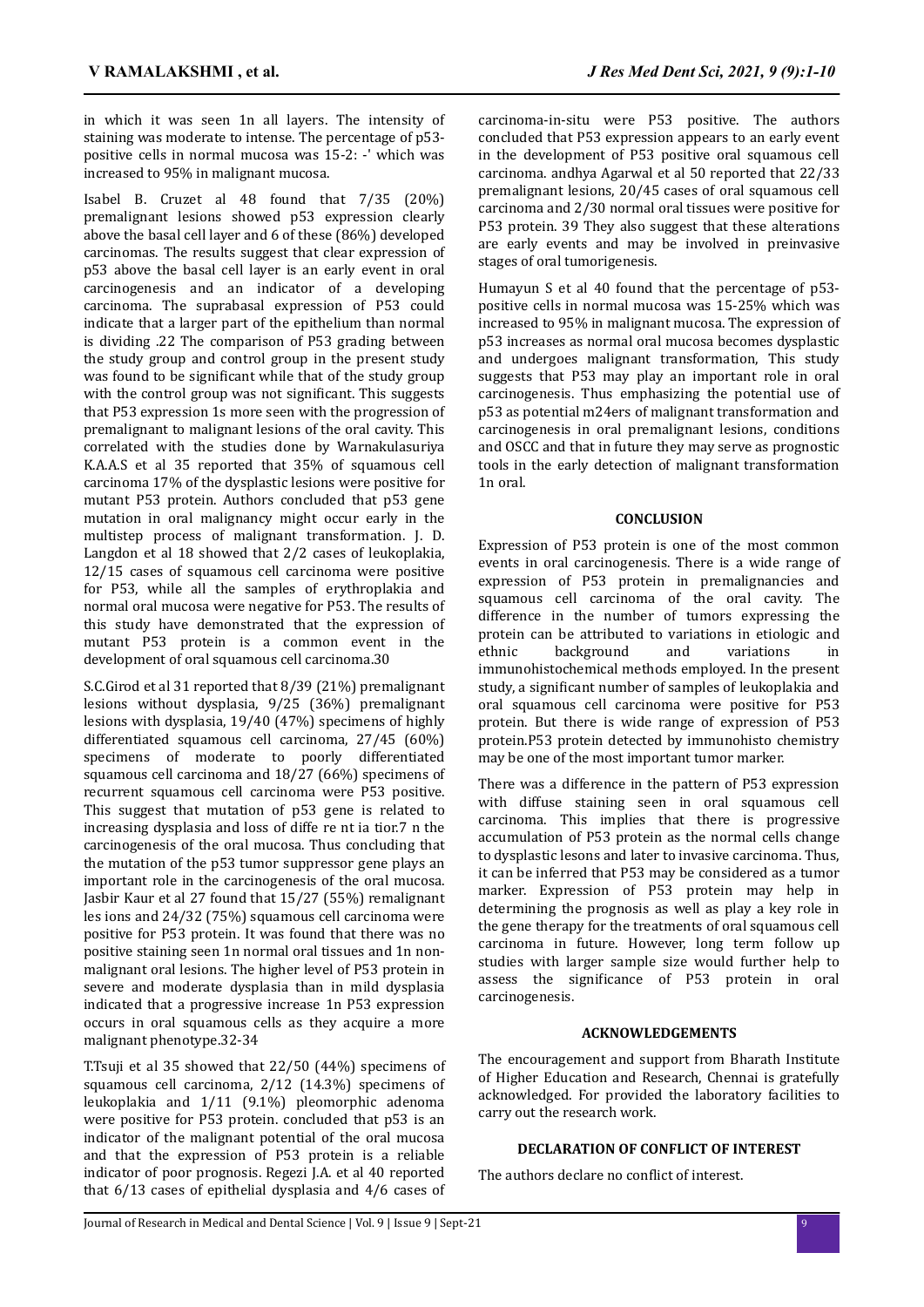in which it was seen 1n all layers. The intensity of staining was moderate to intense. The percentage of p53 positive cells in normal mucosa was 15-2: -' which was increased to 95% in malignant mucosa.

Isabel B. Cruzet al 48 found that 7/35 (20%) premalignant lesions showed p53 expression clearly above the basal cell layer and 6 of these (86%) developed carcinomas. The results suggest that clear expression of p53 above the basal cell layer is an early event in oral carcinogenesis and an indicator of a developing carcinoma. The suprabasal expression of P53 could indicate that a larger part of the epithelium than normal is dividing .22 The comparison of P53 grading between the study group and control group in the present study was found to be significant while that of the study group with the control group was not significant. This suggests that P53 expression 1s more seen with the progression of premalignant to malignant lesions of the oral cavity. This correlated with the studies done by Warnakulasuriya K.A.A.S et al 35 reported that 35% of squamous cell carcinoma 17% of the dysplastic lesions were positive for mutant P53 protein. Authors concluded that p53 gene mutation in oral malignancy might occur early in the multistep process of malignant transformation. J. D. Langdon et al 18 showed that 2/2 cases of leukoplakia, 12/15 cases of squamous cell carcinoma were positive for P53, while all the samples of erythroplakia and normal oral mucosa were negative for P53. The results of this study have demonstrated that the expression of mutant P53 protein is a common event in the development of oral squamous cell carcinoma.30

S.C.Girod et al 31 reported that 8/39 (21%) premalignant lesions without dysplasia, 9/25 (36%) premalignant lesions with dysplasia, 19/40 (47%) specimens of highly differentiated squamous cell carcinoma, 27/45 (60%) specimens of moderate to poorly differentiated squamous cell carcinoma and 18/27 (66%) specimens of recurrent squamous cell carcinoma were P53 positive. This suggest that mutation of p53 gene is related to increasing dysplasia and loss of diffe re nt ia tior.7 n the carcinogenesis of the oral mucosa. Thus concluding that the mutation of the p53 tumor suppressor gene plays an important role in the carcinogenesis of the oral mucosa. Jasbir Kaur et al 27 found that 15/27 (55%) remalignant les ions and 24/32 (75%) squamous cell carcinoma were positive for P53 protein. It was found that there was no positive staining seen 1n normal oral tissues and 1n nonmalignant oral lesions. The higher level of P53 protein in severe and moderate dysplasia than in mild dysplasia indicated that a progressive increase 1n P53 expression occurs in oral squamous cells as they acquire a more malignant phenotype.32-34

T.Tsuji et al 35 showed that 22/50 (44%) specimens of squamous cell carcinoma, 2/12 (14.3%) specimens of leukoplakia and 1/11 (9.1%) pleomorphic adenoma were positive for P53 protein. concluded that p53 is an indicator of the malignant potential of the oral mucosa and that the expression of P53 protein is a reliable indicator of poor prognosis. Regezi J.A. et al 40 reported that 6/13 cases of epithelial dysplasia and 4/6 cases of carcinoma-in-situ were P53 positive. The authors concluded that P53 expression appears to an early event in the development of P53 positive oral squamous cell carcinoma. andhya Agarwal et al 50 reported that 22/33 premalignant lesions, 20/45 cases of oral squamous cell carcinoma and 2/30 normal oral tissues were positive for P53 protein. 39 They also suggest that these alterations are early events and may be involved in preinvasive stages of oral tumorigenesis.

Humayun S et al 40 found that the percentage of p53 positive cells in normal mucosa was 15-25% which was increased to 95% in malignant mucosa. The expression of p53 increases as normal oral mucosa becomes dysplastic and undergoes malignant transformation, This study suggests that P53 may play an important role in oral carcinogenesis. Thus emphasizing the potential use of p53 as potential m24ers of malignant transformation and carcinogenesis in oral premalignant lesions, conditions and OSCC and that in future they may serve as prognostic tools in the early detection of malignant transformation 1n oral.

#### **CONCLUSION**

Expression of P53 protein is one of the most common events in oral carcinogenesis. There is a wide range of expression of P53 protein in premalignancies and squamous cell carcinoma of the oral cavity. The difference in the number of tumors expressing the protein can be attributed to variations in etiologic and ethnic background and variations in immunohistochemical methods employed. In the present study, a significant number of samples of leukoplakia and oral squamous cell carcinoma were positive for P53 protein. But there is wide range of expression of P53 protein.P53 protein detected by immunohisto chemistry may be one of the most important tumor marker.

There was a difference in the pattern of P53 expression with diffuse staining seen in oral squamous cell carcinoma. This implies that there is progressive accumulation of P53 protein as the normal cells change to dysplastic lesons and later to invasive carcinoma. Thus, it can be inferred that P53 may be considered as a tumor marker. Expression of P53 protein may help in determining the prognosis as well as play a key role in the gene therapy for the treatments of oral squamous cell carcinoma in future. However, long term follow up studies with larger sample size would further help to assess the significance of P53 protein in oral carcinogenesis.

#### **ACKNOWLEDGEMENTS**

The encouragement and support from Bharath Institute of Higher Education and Research, Chennai is gratefully acknowledged. For provided the laboratory facilities to carry out the research work.

#### **DECLARATION OF CONFLICT OF INTEREST**

The authors declare no conflict of interest.